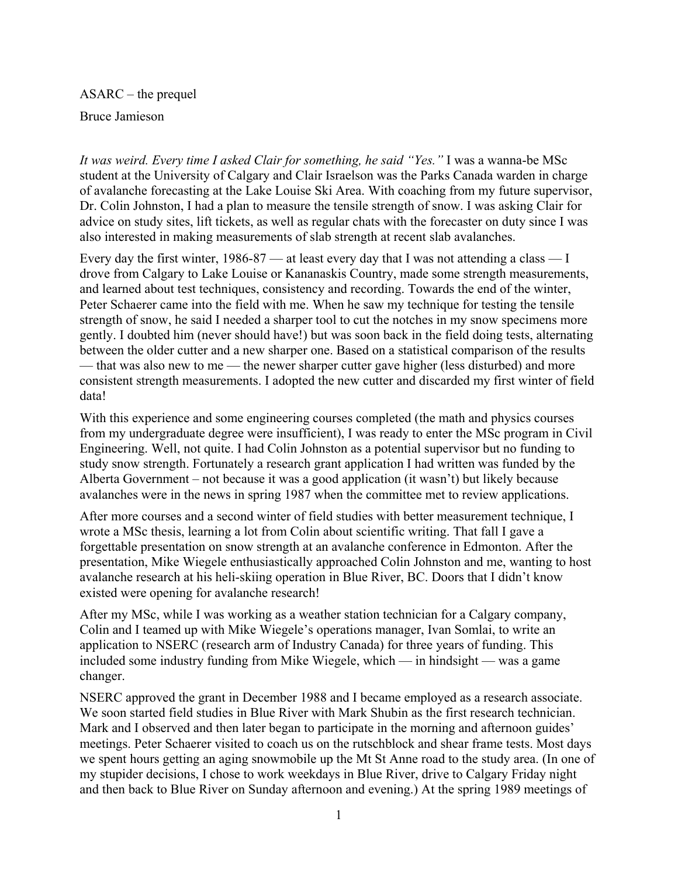ASARC – the prequel Bruce Jamieson

*It was weird. Every time I asked Clair for something, he said "Yes."* I was a wanna-be MSc student at the University of Calgary and Clair Israelson was the Parks Canada warden in charge of avalanche forecasting at the Lake Louise Ski Area. With coaching from my future supervisor, Dr. Colin Johnston, I had a plan to measure the tensile strength of snow. I was asking Clair for advice on study sites, lift tickets, as well as regular chats with the forecaster on duty since I was also interested in making measurements of slab strength at recent slab avalanches.

Every day the first winter, 1986-87 — at least every day that I was not attending a class — I drove from Calgary to Lake Louise or Kananaskis Country, made some strength measurements, and learned about test techniques, consistency and recording. Towards the end of the winter, Peter Schaerer came into the field with me. When he saw my technique for testing the tensile strength of snow, he said I needed a sharper tool to cut the notches in my snow specimens more gently. I doubted him (never should have!) but was soon back in the field doing tests, alternating between the older cutter and a new sharper one. Based on a statistical comparison of the results — that was also new to me — the newer sharper cutter gave higher (less disturbed) and more consistent strength measurements. I adopted the new cutter and discarded my first winter of field data!

With this experience and some engineering courses completed (the math and physics courses from my undergraduate degree were insufficient), I was ready to enter the MSc program in Civil Engineering. Well, not quite. I had Colin Johnston as a potential supervisor but no funding to study snow strength. Fortunately a research grant application I had written was funded by the Alberta Government – not because it was a good application (it wasn't) but likely because avalanches were in the news in spring 1987 when the committee met to review applications.

After more courses and a second winter of field studies with better measurement technique, I wrote a MSc thesis, learning a lot from Colin about scientific writing. That fall I gave a forgettable presentation on snow strength at an avalanche conference in Edmonton. After the presentation, Mike Wiegele enthusiastically approached Colin Johnston and me, wanting to host avalanche research at his heli-skiing operation in Blue River, BC. Doors that I didn't know existed were opening for avalanche research!

After my MSc, while I was working as a weather station technician for a Calgary company, Colin and I teamed up with Mike Wiegele's operations manager, Ivan Somlai, to write an application to NSERC (research arm of Industry Canada) for three years of funding. This included some industry funding from Mike Wiegele, which — in hindsight — was a game changer.

NSERC approved the grant in December 1988 and I became employed as a research associate. We soon started field studies in Blue River with Mark Shubin as the first research technician. Mark and I observed and then later began to participate in the morning and afternoon guides' meetings. Peter Schaerer visited to coach us on the rutschblock and shear frame tests. Most days we spent hours getting an aging snowmobile up the Mt St Anne road to the study area. (In one of my stupider decisions, I chose to work weekdays in Blue River, drive to Calgary Friday night and then back to Blue River on Sunday afternoon and evening.) At the spring 1989 meetings of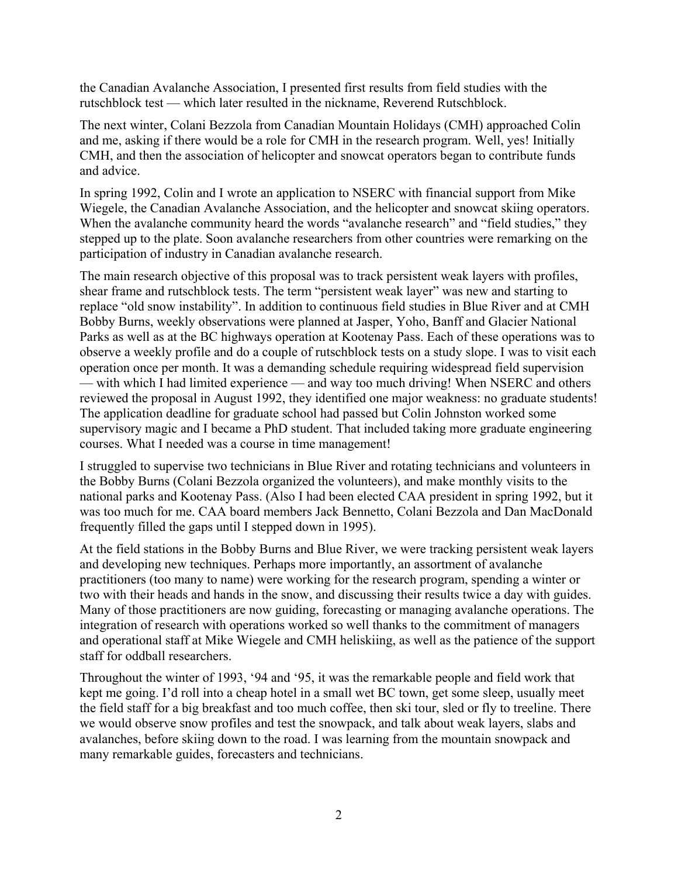the Canadian Avalanche Association, I presented first results from field studies with the rutschblock test — which later resulted in the nickname, Reverend Rutschblock.

The next winter, Colani Bezzola from Canadian Mountain Holidays (CMH) approached Colin and me, asking if there would be a role for CMH in the research program. Well, yes! Initially CMH, and then the association of helicopter and snowcat operators began to contribute funds and advice.

In spring 1992, Colin and I wrote an application to NSERC with financial support from Mike Wiegele, the Canadian Avalanche Association, and the helicopter and snowcat skiing operators. When the avalanche community heard the words "avalanche research" and "field studies," they stepped up to the plate. Soon avalanche researchers from other countries were remarking on the participation of industry in Canadian avalanche research.

The main research objective of this proposal was to track persistent weak layers with profiles, shear frame and rutschblock tests. The term "persistent weak layer" was new and starting to replace "old snow instability". In addition to continuous field studies in Blue River and at CMH Bobby Burns, weekly observations were planned at Jasper, Yoho, Banff and Glacier National Parks as well as at the BC highways operation at Kootenay Pass. Each of these operations was to observe a weekly profile and do a couple of rutschblock tests on a study slope. I was to visit each operation once per month. It was a demanding schedule requiring widespread field supervision — with which I had limited experience — and way too much driving! When NSERC and others reviewed the proposal in August 1992, they identified one major weakness: no graduate students! The application deadline for graduate school had passed but Colin Johnston worked some supervisory magic and I became a PhD student. That included taking more graduate engineering courses. What I needed was a course in time management!

I struggled to supervise two technicians in Blue River and rotating technicians and volunteers in the Bobby Burns (Colani Bezzola organized the volunteers), and make monthly visits to the national parks and Kootenay Pass. (Also I had been elected CAA president in spring 1992, but it was too much for me. CAA board members Jack Bennetto, Colani Bezzola and Dan MacDonald frequently filled the gaps until I stepped down in 1995).

At the field stations in the Bobby Burns and Blue River, we were tracking persistent weak layers and developing new techniques. Perhaps more importantly, an assortment of avalanche practitioners (too many to name) were working for the research program, spending a winter or two with their heads and hands in the snow, and discussing their results twice a day with guides. Many of those practitioners are now guiding, forecasting or managing avalanche operations. The integration of research with operations worked so well thanks to the commitment of managers and operational staff at Mike Wiegele and CMH heliskiing, as well as the patience of the support staff for oddball researchers.

Throughout the winter of 1993, '94 and '95, it was the remarkable people and field work that kept me going. I'd roll into a cheap hotel in a small wet BC town, get some sleep, usually meet the field staff for a big breakfast and too much coffee, then ski tour, sled or fly to treeline. There we would observe snow profiles and test the snowpack, and talk about weak layers, slabs and avalanches, before skiing down to the road. I was learning from the mountain snowpack and many remarkable guides, forecasters and technicians.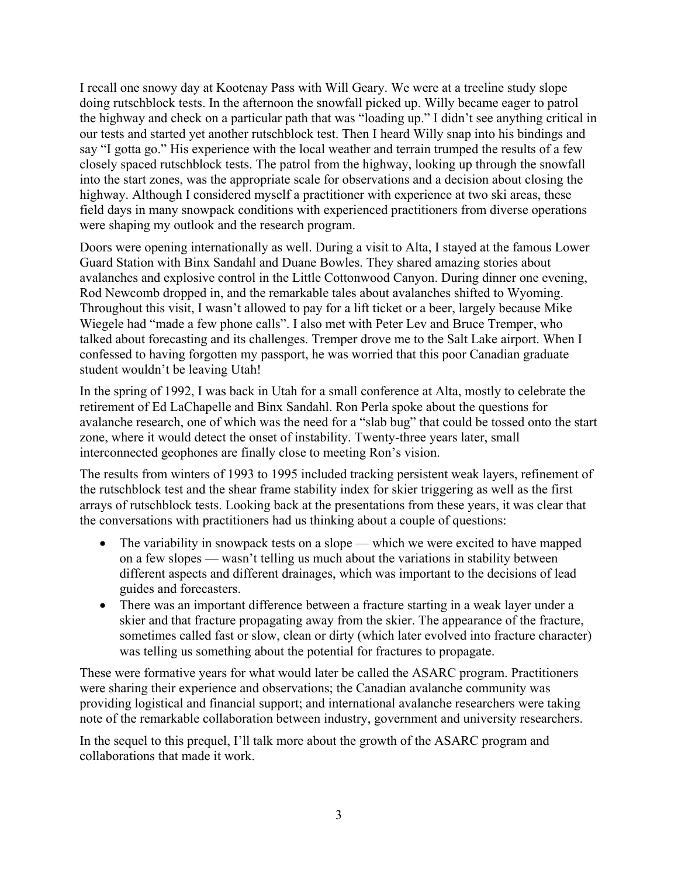I recall one snowy day at Kootenay Pass with Will Geary. We were at a treeline study slope doing rutschblock tests. In the afternoon the snowfall picked up. Willy became eager to patrol the highway and check on a particular path that was "loading up." I didn't see anything critical in our tests and started yet another rutschblock test. Then I heard Willy snap into his bindings and say "I gotta go." His experience with the local weather and terrain trumped the results of a few closely spaced rutschblock tests. The patrol from the highway, looking up through the snowfall into the start zones, was the appropriate scale for observations and a decision about closing the highway. Although I considered myself a practitioner with experience at two ski areas, these field days in many snowpack conditions with experienced practitioners from diverse operations were shaping my outlook and the research program.

Doors were opening internationally as well. During a visit to Alta, I stayed at the famous Lower Guard Station with Binx Sandahl and Duane Bowles. They shared amazing stories about avalanches and explosive control in the Little Cottonwood Canyon. During dinner one evening, Rod Newcomb dropped in, and the remarkable tales about avalanches shifted to Wyoming. Throughout this visit, I wasn't allowed to pay for a lift ticket or a beer, largely because Mike Wiegele had "made a few phone calls". I also met with Peter Lev and Bruce Tremper, who talked about forecasting and its challenges. Tremper drove me to the Salt Lake airport. When I confessed to having forgotten my passport, he was worried that this poor Canadian graduate student wouldn't be leaving Utah!

In the spring of 1992, I was back in Utah for a small conference at Alta, mostly to celebrate the retirement of Ed LaChapelle and Binx Sandahl. Ron Perla spoke about the questions for avalanche research, one of which was the need for a "slab bug" that could be tossed onto the start zone, where it would detect the onset of instability. Twenty-three years later, small interconnected geophones are finally close to meeting Ron's vision.

The results from winters of 1993 to 1995 included tracking persistent weak layers, refinement of the rutschblock test and the shear frame stability index for skier triggering as well as the first arrays of rutschblock tests. Looking back at the presentations from these years, it was clear that the conversations with practitioners had us thinking about a couple of questions:

- The variability in snowpack tests on a slope which we were excited to have mapped on a few slopes — wasn't telling us much about the variations in stability between different aspects and different drainages, which was important to the decisions of lead guides and forecasters.
- There was an important difference between a fracture starting in a weak layer under a skier and that fracture propagating away from the skier. The appearance of the fracture, sometimes called fast or slow, clean or dirty (which later evolved into fracture character) was telling us something about the potential for fractures to propagate.

These were formative years for what would later be called the ASARC program. Practitioners were sharing their experience and observations; the Canadian avalanche community was providing logistical and financial support; and international avalanche researchers were taking note of the remarkable collaboration between industry, government and university researchers.

In the sequel to this prequel, I'll talk more about the growth of the ASARC program and collaborations that made it work.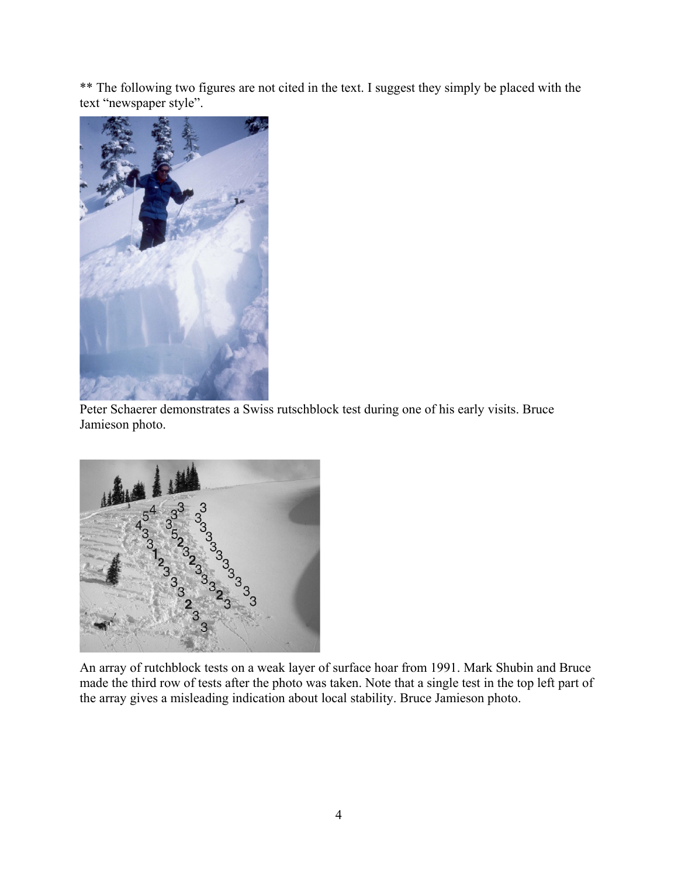\*\* The following two figures are not cited in the text. I suggest they simply be placed with the text "newspaper style".



Peter Schaerer demonstrates a Swiss rutschblock test during one of his early visits. Bruce Jamieson photo.



An array of rutchblock tests on a weak layer of surface hoar from 1991. Mark Shubin and Bruce made the third row of tests after the photo was taken. Note that a single test in the top left part of the array gives a misleading indication about local stability. Bruce Jamieson photo.